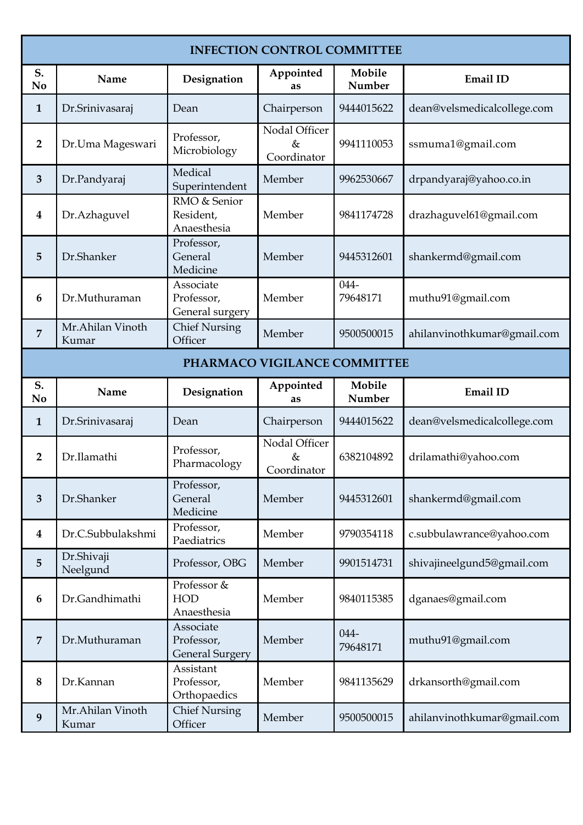| <b>INFECTION CONTROL COMMITTEE</b> |                           |                                            |                                      |                  |                             |
|------------------------------------|---------------------------|--------------------------------------------|--------------------------------------|------------------|-----------------------------|
| S.<br>No                           | Name                      | Designation                                | Appointed<br>as                      | Mobile<br>Number | Email ID                    |
| $\mathbf{1}$                       | Dr.Srinivasaraj           | Dean                                       | Chairperson                          | 9444015622       | dean@velsmedicalcollege.com |
| $\overline{2}$                     | Dr.Uma Mageswari          | Professor,<br>Microbiology                 | Nodal Officer<br>$\&$<br>Coordinator | 9941110053       | ssmuma1@gmail.com           |
| $\overline{3}$                     | Dr.Pandyaraj              | Medical<br>Superintendent                  | Member                               | 9962530667       | drpandyaraj@yahoo.co.in     |
| $\overline{\mathbf{4}}$            | Dr.Azhaguvel              | RMO & Senior<br>Resident,<br>Anaesthesia   | Member                               | 9841174728       | drazhaguvel61@gmail.com     |
| 5                                  | Dr.Shanker                | Professor,<br>General<br>Medicine          | Member                               | 9445312601       | shankermd@gmail.com         |
| 6                                  | Dr.Muthuraman             | Associate<br>Professor,<br>General surgery | Member                               | 044-<br>79648171 | muthu91@gmail.com           |
| $\overline{7}$                     | Mr.Ahilan Vinoth<br>Kumar | <b>Chief Nursing</b><br>Officer            | Member                               | 9500500015       | ahilanvinothkumar@gmail.com |
|                                    |                           |                                            | PHARMACO VIGILANCE COMMITTEE         |                  |                             |
| S.<br>No                           | Name                      | Designation                                | Appointed<br>as                      | Mobile<br>Number | Email ID                    |
| $\mathbf{1}$                       | Dr.Srinivasaraj           | Dean                                       | Chairperson                          | 9444015622       | dean@velsmedicalcollege.com |
| $\overline{2}$                     | Dr.Ilamathi               | Professor,<br>Pharmacology                 | Nodal Officer<br>&<br>Coordinator    | 6382104892       | drilamathi@yahoo.com        |
| $\mathbf{3}$                       | Dr.Shanker                | Professor,<br>General<br>Medicine          | Member                               | 9445312601       | shankermd@gmail.com         |
| $\boldsymbol{4}$                   | Dr.C.Subbulakshmi         | Professor,<br>Paediatrics                  | Member                               | 9790354118       | c.subbulawrance@yahoo.com   |
| 5                                  | Dr.Shivaji<br>Neelgund    | Professor, OBG                             | Member                               | 9901514731       | shivajineelgund5@gmail.com  |
| 6                                  | Dr.Gandhimathi            | Professor &<br><b>HOD</b><br>Anaesthesia   | Member                               | 9840115385       | dganaes@gmail.com           |
| $\overline{7}$                     |                           | Associate                                  |                                      | 044-             |                             |
|                                    | Dr.Muthuraman             | Professor,<br><b>General Surgery</b>       | Member                               | 79648171         | muthu91@gmail.com           |
| 8                                  | Dr.Kannan                 | Assistant<br>Professor,<br>Orthopaedics    | Member                               | 9841135629       | drkansorth@gmail.com        |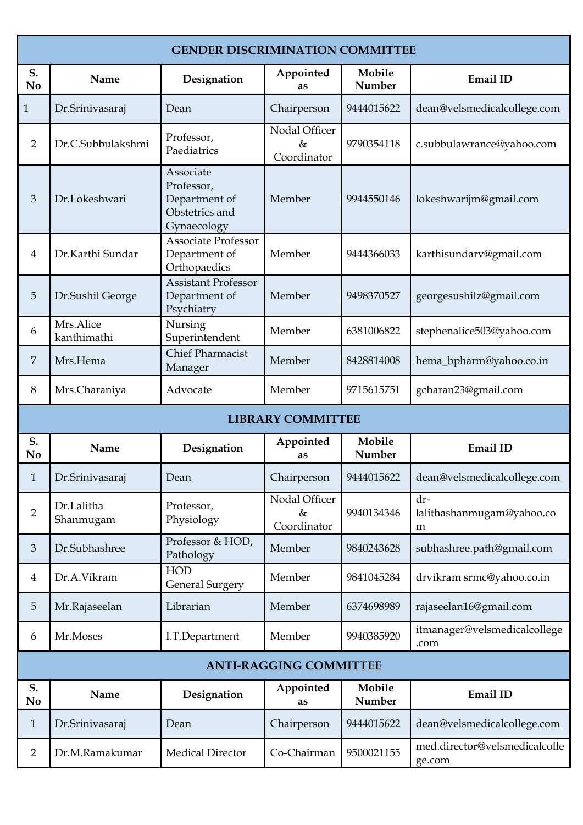| <b>GENDER DISCRIMINATION COMMITTEE</b> |                          |                                                                           |                                   |                  |                                         |  |
|----------------------------------------|--------------------------|---------------------------------------------------------------------------|-----------------------------------|------------------|-----------------------------------------|--|
| S.<br>N <sub>0</sub>                   | Name                     | Designation                                                               | Appointed<br>as                   | Mobile<br>Number | Email ID                                |  |
| $\mathbf{1}$                           | Dr.Srinivasaraj          | Dean                                                                      | Chairperson                       | 9444015622       | dean@velsmedicalcollege.com             |  |
| $\overline{2}$                         | Dr.C.Subbulakshmi        | Professor,<br>Paediatrics                                                 | Nodal Officer<br>&<br>Coordinator | 9790354118       | c.subbulawrance@yahoo.com               |  |
| 3                                      | Dr.Lokeshwari            | Associate<br>Professor,<br>Department of<br>Obstetrics and<br>Gynaecology | Member                            | 9944550146       | lokeshwarijm@gmail.com                  |  |
| 4                                      | Dr.Karthi Sundar         | <b>Associate Professor</b><br>Department of<br>Orthopaedics               | Member                            | 9444366033       | karthisundarv@gmail.com                 |  |
| 5                                      | Dr.Sushil George         | <b>Assistant Professor</b><br>Department of<br>Psychiatry                 | Member                            | 9498370527       | georgesushilz@gmail.com                 |  |
| 6                                      | Mrs.Alice<br>kanthimathi | Nursing<br>Superintendent                                                 | Member                            | 6381006822       | stephenalice503@yahoo.com               |  |
| 7                                      | Mrs.Hema                 | <b>Chief Pharmacist</b><br>Manager                                        | Member                            | 8428814008       | hema_bpharm@yahoo.co.in                 |  |
| 8                                      | Mrs.Charaniya            | Advocate                                                                  | Member                            | 9715615751       | gcharan23@gmail.com                     |  |
|                                        |                          |                                                                           | <b>LIBRARY COMMITTEE</b>          |                  |                                         |  |
| S.<br>N <sub>0</sub>                   | Name                     | Designation                                                               | Appointed<br>as                   | Mobile<br>Number | Email ID                                |  |
| $\mathbf{1}$                           | Dr.Srinivasaraj          | Dean                                                                      | Chairperson                       | 9444015622       | dean@velsmedicalcollege.com             |  |
| $\overline{2}$                         | Dr.Lalitha<br>Shanmugam  | Professor,<br>Physiology                                                  | Nodal Officer<br>&<br>Coordinator | 9940134346       | dr-<br>lalithashanmugam@yahoo.co<br>m   |  |
| 3                                      | Dr.Subhashree            | Professor & HOD,<br>Pathology                                             | Member                            | 9840243628       | subhashree.path@gmail.com               |  |
| 4                                      | Dr.A.Vikram              | <b>HOD</b><br><b>General Surgery</b>                                      | Member                            | 9841045284       | drvikram srmc@yahoo.co.in               |  |
| 5                                      | Mr.Rajaseelan            | Librarian                                                                 | Member                            | 6374698989       | rajaseelan16@gmail.com                  |  |
| 6                                      | Mr.Moses                 | I.T.Department                                                            | Member                            | 9940385920       | itmanager@velsmedicalcollege<br>.com    |  |
| <b>ANTI-RAGGING COMMITTEE</b>          |                          |                                                                           |                                   |                  |                                         |  |
| S.<br>No                               | Name                     | Designation                                                               | Appointed<br>as                   | Mobile<br>Number | <b>Email ID</b>                         |  |
| $\mathbf{1}$                           | Dr.Srinivasaraj          | Dean                                                                      | Chairperson                       | 9444015622       | dean@velsmedicalcollege.com             |  |
| 2                                      | Dr.M.Ramakumar           | <b>Medical Director</b>                                                   | Co-Chairman                       | 9500021155       | med.director@velsmedicalcolle<br>ge.com |  |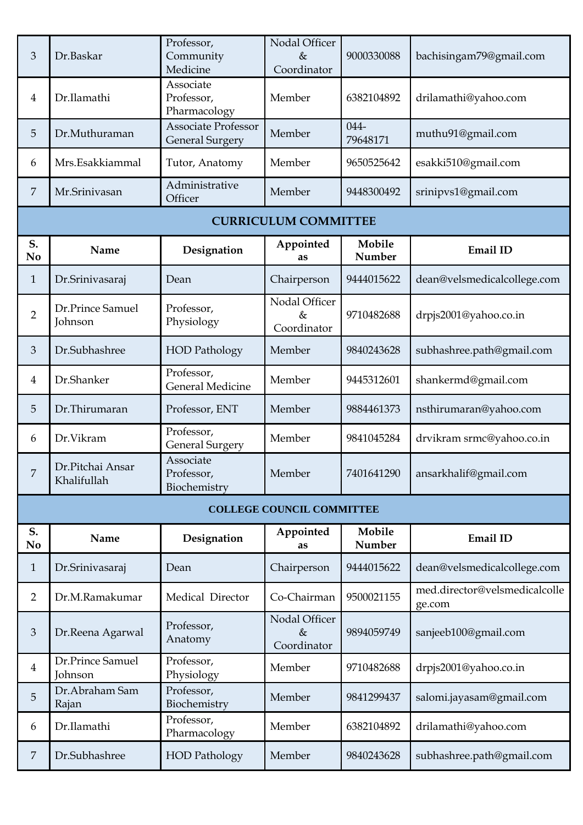| 3                    | Dr.Baskar                       | Professor,<br>Community<br>Medicine                  | Nodal Officer<br>$\&$<br>Coordinator | 9000330088          | bachisingam79@gmail.com                 |
|----------------------|---------------------------------|------------------------------------------------------|--------------------------------------|---------------------|-----------------------------------------|
| $\overline{4}$       | Dr.Ilamathi                     | Associate<br>Professor,<br>Pharmacology              | Member                               | 6382104892          | drilamathi@yahoo.com                    |
| 5                    | Dr.Muthuraman                   | <b>Associate Professor</b><br><b>General Surgery</b> | Member                               | $044 -$<br>79648171 | muthu91@gmail.com                       |
| 6                    | Mrs.Esakkiammal                 | Tutor, Anatomy                                       | Member                               | 9650525642          | esakki510@gmail.com                     |
| 7                    | Mr.Srinivasan                   | Administrative<br>Officer                            | Member                               | 9448300492          | srinipvs1@gmail.com                     |
|                      |                                 |                                                      | <b>CURRICULUM COMMITTEE</b>          |                     |                                         |
| S.<br>No             | Name                            | Designation                                          | Appointed<br>as                      | Mobile<br>Number    | Email ID                                |
| $\mathbf{1}$         | Dr.Srinivasaraj                 | Dean                                                 | Chairperson                          | 9444015622          | dean@velsmedicalcollege.com             |
| $\overline{2}$       | Dr.Prince Samuel<br>Johnson     | Professor,<br>Physiology                             | Nodal Officer<br>$\&$<br>Coordinator | 9710482688          | drpjs2001@yahoo.co.in                   |
| 3                    | Dr.Subhashree                   | <b>HOD Pathology</b>                                 | Member                               | 9840243628          | subhashree.path@gmail.com               |
| $\overline{4}$       | Dr.Shanker                      | Professor,<br><b>General Medicine</b>                | Member                               | 9445312601          | shankermd@gmail.com                     |
| 5                    | Dr.Thirumaran                   | Professor, ENT                                       | Member                               | 9884461373          | nsthirumaran@yahoo.com                  |
| 6                    | Dr.Vikram                       | Professor,<br><b>General Surgery</b>                 | Member                               | 9841045284          | drvikram srmc@yahoo.co.in               |
| $\boldsymbol{7}$     | Dr.Pitchai Ansar<br>Khalifullah | Associate<br>Professor,<br>Biochemistry              | Member                               | 7401641290          | ansarkhalif@gmail.com                   |
|                      |                                 |                                                      | <b>COLLEGE COUNCIL COMMITTEE</b>     |                     |                                         |
| S.<br>N <sub>o</sub> | Name                            | Designation                                          | Appointed<br>as                      | Mobile<br>Number    | Email ID                                |
| $\mathbf{1}$         | Dr.Srinivasaraj                 | Dean                                                 | Chairperson                          | 9444015622          | dean@velsmedicalcollege.com             |
| $\overline{2}$       | Dr.M.Ramakumar                  | Medical Director                                     | Co-Chairman                          | 9500021155          | med.director@velsmedicalcolle<br>ge.com |
| 3                    | Dr.Reena Agarwal                | Professor,<br>Anatomy                                | Nodal Officer<br>$\&$<br>Coordinator | 9894059749          | sanjeeb100@gmail.com                    |
| $\overline{4}$       | Dr.Prince Samuel<br>Johnson     | Professor,<br>Physiology                             | Member                               | 9710482688          | drpjs2001@yahoo.co.in                   |
| 5                    | Dr.Abraham Sam<br>Rajan         | Professor,<br>Biochemistry                           | Member                               | 9841299437          | salomi.jayasam@gmail.com                |
| 6                    | Dr.Ilamathi                     | Professor,<br>Pharmacology                           | Member                               | 6382104892          | drilamathi@yahoo.com                    |
| $\overline{7}$       | Dr.Subhashree                   | <b>HOD Pathology</b>                                 | Member                               | 9840243628          | subhashree.path@gmail.com               |